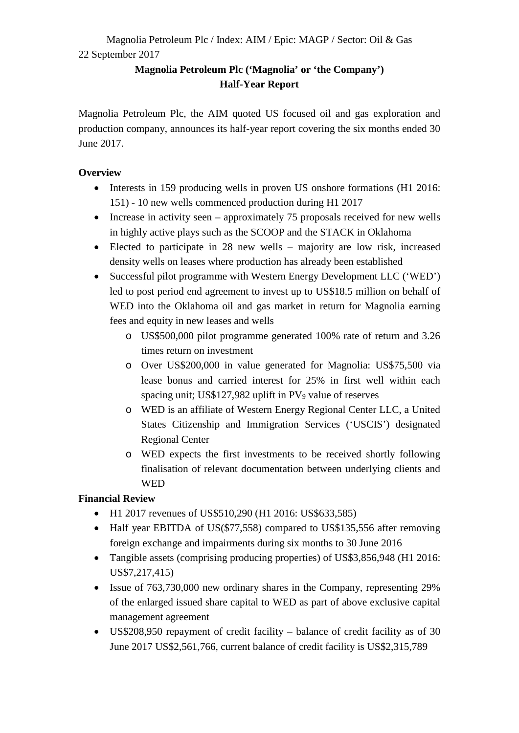## **Magnolia Petroleum Plc ('Magnolia' or 'the Company') Half-Year Report**

Magnolia Petroleum Plc, the AIM quoted US focused oil and gas exploration and production company, announces its half-year report covering the six months ended 30 June 2017.

## **Overview**

- Interests in 159 producing wells in proven US onshore formations (H1 2016: 151) - 10 new wells commenced production during H1 2017
- Increase in activity seen approximately 75 proposals received for new wells in highly active plays such as the SCOOP and the STACK in Oklahoma
- Elected to participate in 28 new wells majority are low risk, increased density wells on leases where production has already been established
- Successful pilot programme with Western Energy Development LLC ('WED') led to post period end agreement to invest up to US\$18.5 million on behalf of WED into the Oklahoma oil and gas market in return for Magnolia earning fees and equity in new leases and wells
	- o US\$500,000 pilot programme generated 100% rate of return and 3.26 times return on investment
	- o Over US\$200,000 in value generated for Magnolia: US\$75,500 via lease bonus and carried interest for 25% in first well within each spacing unit; US\$127,982 uplift in PV<sub>9</sub> value of reserves
	- o WED is an affiliate of Western Energy Regional Center LLC, a United States Citizenship and Immigration Services ('USCIS') designated Regional Center
	- o WED expects the first investments to be received shortly following finalisation of relevant documentation between underlying clients and WED

# **Financial Review**

- H1 2017 revenues of US\$510,290 (H1 2016: US\$633,585)
- Half year EBITDA of US(\$77,558) compared to US\$135,556 after removing foreign exchange and impairments during six months to 30 June 2016
- Tangible assets (comprising producing properties) of US\$3,856,948 (H1 2016: US\$7,217,415)
- Issue of 763,730,000 new ordinary shares in the Company, representing 29% of the enlarged issued share capital to WED as part of above exclusive capital management agreement
- US\$208,950 repayment of credit facility balance of credit facility as of 30 June 2017 US\$2,561,766, current balance of credit facility is US\$2,315,789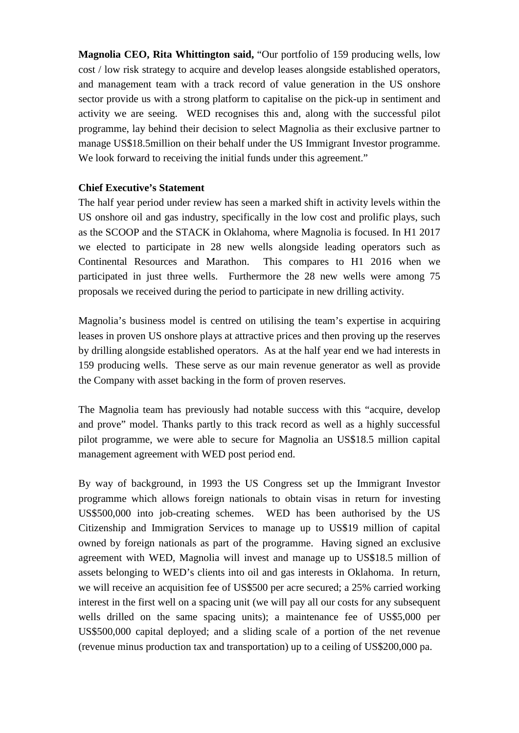**Magnolia CEO, Rita Whittington said,** "Our portfolio of 159 producing wells, low cost / low risk strategy to acquire and develop leases alongside established operators, and management team with a track record of value generation in the US onshore sector provide us with a strong platform to capitalise on the pick-up in sentiment and activity we are seeing. WED recognises this and, along with the successful pilot programme, lay behind their decision to select Magnolia as their exclusive partner to manage US\$18.5million on their behalf under the US Immigrant Investor programme. We look forward to receiving the initial funds under this agreement."

## **Chief Executive's Statement**

The half year period under review has seen a marked shift in activity levels within the US onshore oil and gas industry, specifically in the low cost and prolific plays, such as the SCOOP and the STACK in Oklahoma, where Magnolia is focused. In H1 2017 we elected to participate in 28 new wells alongside leading operators such as Continental Resources and Marathon. This compares to H1 2016 when we participated in just three wells. Furthermore the 28 new wells were among 75 proposals we received during the period to participate in new drilling activity.

Magnolia's business model is centred on utilising the team's expertise in acquiring leases in proven US onshore plays at attractive prices and then proving up the reserves by drilling alongside established operators. As at the half year end we had interests in 159 producing wells. These serve as our main revenue generator as well as provide the Company with asset backing in the form of proven reserves.

The Magnolia team has previously had notable success with this "acquire, develop and prove" model. Thanks partly to this track record as well as a highly successful pilot programme, we were able to secure for Magnolia an US\$18.5 million capital management agreement with WED post period end.

By way of background, in 1993 the US Congress set up the Immigrant Investor programme which allows foreign nationals to obtain visas in return for investing US\$500,000 into job-creating schemes. WED has been authorised by the US Citizenship and Immigration Services to manage up to US\$19 million of capital owned by foreign nationals as part of the programme. Having signed an exclusive agreement with WED, Magnolia will invest and manage up to US\$18.5 million of assets belonging to WED's clients into oil and gas interests in Oklahoma. In return, we will receive an acquisition fee of US\$500 per acre secured; a 25% carried working interest in the first well on a spacing unit (we will pay all our costs for any subsequent wells drilled on the same spacing units); a maintenance fee of US\$5,000 per US\$500,000 capital deployed; and a sliding scale of a portion of the net revenue (revenue minus production tax and transportation) up to a ceiling of US\$200,000 pa.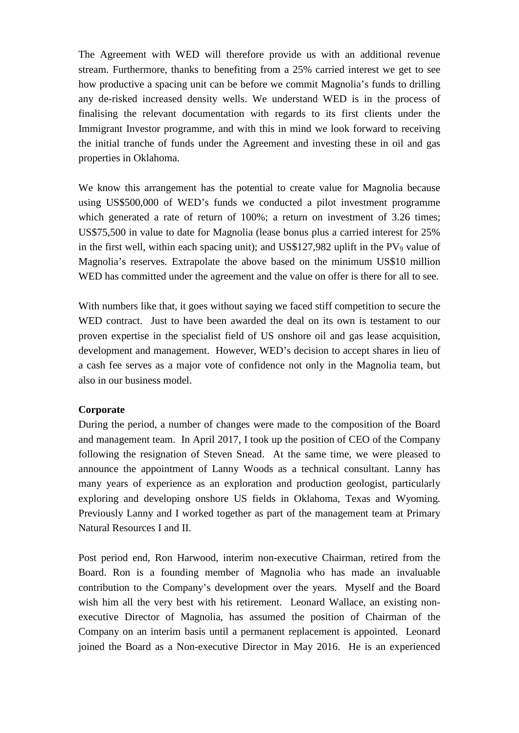The Agreement with WED will therefore provide us with an additional revenue stream. Furthermore, thanks to benefiting from a 25% carried interest we get to see how productive a spacing unit can be before we commit Magnolia's funds to drilling any de-risked increased density wells. We understand WED is in the process of finalising the relevant documentation with regards to its first clients under the Immigrant Investor programme, and with this in mind we look forward to receiving the initial tranche of funds under the Agreement and investing these in oil and gas properties in Oklahoma.

We know this arrangement has the potential to create value for Magnolia because using US\$500,000 of WED's funds we conducted a pilot investment programme which generated a rate of return of 100%; a return on investment of 3.26 times; US\$75,500 in value to date for Magnolia (lease bonus plus a carried interest for 25% in the first well, within each spacing unit); and  $US$127,982$  uplift in the PV<sub>9</sub> value of Magnolia's reserves. Extrapolate the above based on the minimum US\$10 million WED has committed under the agreement and the value on offer is there for all to see.

With numbers like that, it goes without saying we faced stiff competition to secure the WED contract. Just to have been awarded the deal on its own is testament to our proven expertise in the specialist field of US onshore oil and gas lease acquisition, development and management. However, WED's decision to accept shares in lieu of a cash fee serves as a major vote of confidence not only in the Magnolia team, but also in our business model.

## **Corporate**

During the period, a number of changes were made to the composition of the Board and management team. In April 2017, I took up the position of CEO of the Company following the resignation of Steven Snead. At the same time, we were pleased to announce the appointment of Lanny Woods as a technical consultant. Lanny has many years of experience as an exploration and production geologist, particularly exploring and developing onshore US fields in Oklahoma, Texas and Wyoming. Previously Lanny and I worked together as part of the management team at Primary Natural Resources I and II.

Post period end, Ron Harwood, interim non-executive Chairman, retired from the Board. Ron is a founding member of Magnolia who has made an invaluable contribution to the Company's development over the years. Myself and the Board wish him all the very best with his retirement. Leonard Wallace, an existing nonexecutive Director of Magnolia, has assumed the position of Chairman of the Company on an interim basis until a permanent replacement is appointed. Leonard joined the Board as a Non-executive Director in May 2016. He is an experienced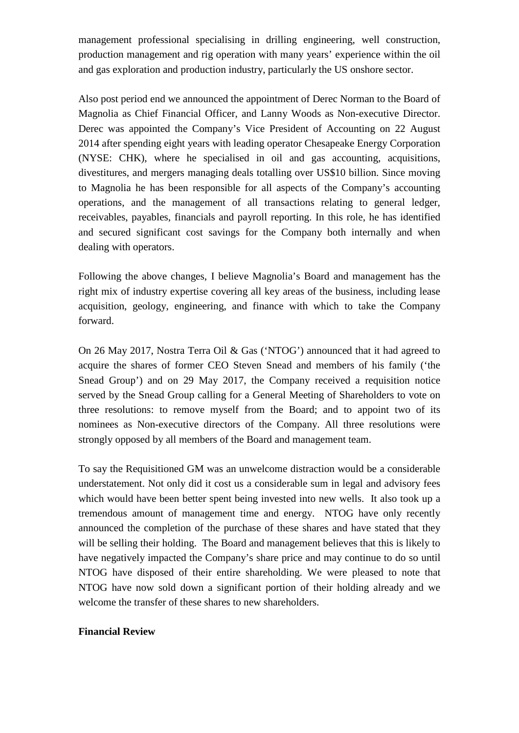management professional specialising in drilling engineering, well construction, production management and rig operation with many years' experience within the oil and gas exploration and production industry, particularly the US onshore sector.

Also post period end we announced the appointment of Derec Norman to the Board of Magnolia as Chief Financial Officer, and Lanny Woods as Non-executive Director. Derec was appointed the Company's Vice President of Accounting on 22 August 2014 after spending eight years with leading operator Chesapeake Energy Corporation (NYSE: CHK), where he specialised in oil and gas accounting, acquisitions, divestitures, and mergers managing deals totalling over US\$10 billion. Since moving to Magnolia he has been responsible for all aspects of the Company's accounting operations, and the management of all transactions relating to general ledger, receivables, payables, financials and payroll reporting. In this role, he has identified and secured significant cost savings for the Company both internally and when dealing with operators.

Following the above changes, I believe Magnolia's Board and management has the right mix of industry expertise covering all key areas of the business, including lease acquisition, geology, engineering, and finance with which to take the Company forward.

On 26 May 2017, Nostra Terra Oil & Gas ('NTOG') announced that it had agreed to acquire the shares of former CEO Steven Snead and members of his family ('the Snead Group') and on 29 May 2017, the Company received a requisition notice served by the Snead Group calling for a General Meeting of Shareholders to vote on three resolutions: to remove myself from the Board; and to appoint two of its nominees as Non-executive directors of the Company. All three resolutions were strongly opposed by all members of the Board and management team.

To say the Requisitioned GM was an unwelcome distraction would be a considerable understatement. Not only did it cost us a considerable sum in legal and advisory fees which would have been better spent being invested into new wells. It also took up a tremendous amount of management time and energy. NTOG have only recently announced the completion of the purchase of these shares and have stated that they will be selling their holding. The Board and management believes that this is likely to have negatively impacted the Company's share price and may continue to do so until NTOG have disposed of their entire shareholding. We were pleased to note that NTOG have now sold down a significant portion of their holding already and we welcome the transfer of these shares to new shareholders.

### **Financial Review**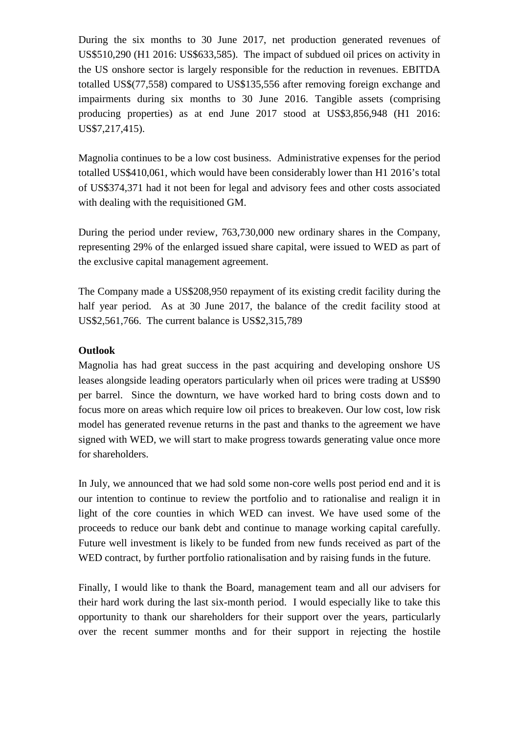During the six months to 30 June 2017, net production generated revenues of US\$510,290 (H1 2016: US\$633,585). The impact of subdued oil prices on activity in the US onshore sector is largely responsible for the reduction in revenues. EBITDA totalled US\$(77,558) compared to US\$135,556 after removing foreign exchange and impairments during six months to 30 June 2016. Tangible assets (comprising producing properties) as at end June 2017 stood at US\$3,856,948 (H1 2016: US\$7,217,415).

Magnolia continues to be a low cost business. Administrative expenses for the period totalled US\$410,061, which would have been considerably lower than H1 2016's total of US\$374,371 had it not been for legal and advisory fees and other costs associated with dealing with the requisitioned GM.

During the period under review, 763,730,000 new ordinary shares in the Company, representing 29% of the enlarged issued share capital, were issued to WED as part of the exclusive capital management agreement.

The Company made a US\$208,950 repayment of its existing credit facility during the half year period. As at 30 June 2017, the balance of the credit facility stood at US\$2,561,766. The current balance is US\$2,315,789

## **Outlook**

Magnolia has had great success in the past acquiring and developing onshore US leases alongside leading operators particularly when oil prices were trading at US\$90 per barrel. Since the downturn, we have worked hard to bring costs down and to focus more on areas which require low oil prices to breakeven. Our low cost, low risk model has generated revenue returns in the past and thanks to the agreement we have signed with WED, we will start to make progress towards generating value once more for shareholders.

In July, we announced that we had sold some non-core wells post period end and it is our intention to continue to review the portfolio and to rationalise and realign it in light of the core counties in which WED can invest. We have used some of the proceeds to reduce our bank debt and continue to manage working capital carefully. Future well investment is likely to be funded from new funds received as part of the WED contract, by further portfolio rationalisation and by raising funds in the future.

Finally, I would like to thank the Board, management team and all our advisers for their hard work during the last six-month period. I would especially like to take this opportunity to thank our shareholders for their support over the years, particularly over the recent summer months and for their support in rejecting the hostile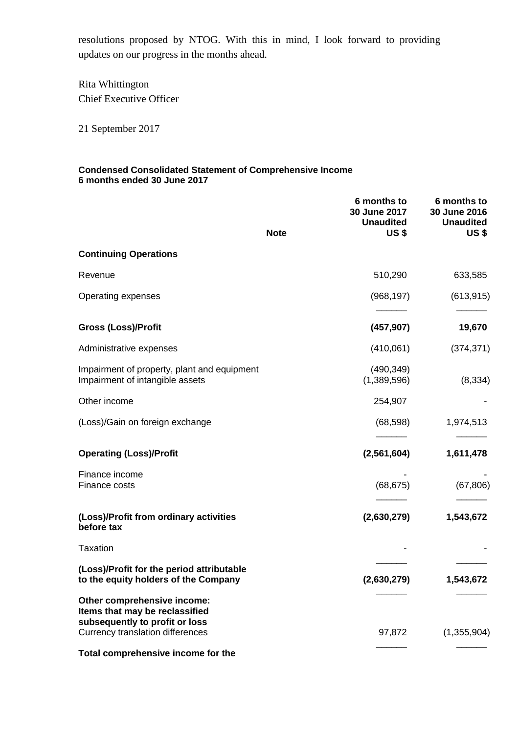resolutions proposed by NTOG. With this in mind, I look forward to providing updates on our progress in the months ahead.

Rita Whittington Chief Executive Officer

21 September 2017

### **Condensed Consolidated Statement of Comprehensive Income 6 months ended 30 June 2017**

|                                                                                                                                     | <b>Note</b> | 6 months to<br>30 June 2017<br><b>Unaudited</b><br>US \$ | 6 months to<br>30 June 2016<br><b>Unaudited</b><br><b>US\$</b> |
|-------------------------------------------------------------------------------------------------------------------------------------|-------------|----------------------------------------------------------|----------------------------------------------------------------|
| <b>Continuing Operations</b>                                                                                                        |             |                                                          |                                                                |
| Revenue                                                                                                                             |             | 510,290                                                  | 633,585                                                        |
| Operating expenses                                                                                                                  |             | (968, 197)                                               | (613, 915)                                                     |
| <b>Gross (Loss)/Profit</b>                                                                                                          |             | (457, 907)                                               | 19,670                                                         |
| Administrative expenses                                                                                                             |             | (410,061)                                                | (374, 371)                                                     |
| Impairment of property, plant and equipment<br>Impairment of intangible assets                                                      |             | (490, 349)<br>(1,389,596)                                | (8, 334)                                                       |
| Other income                                                                                                                        |             | 254,907                                                  |                                                                |
| (Loss)/Gain on foreign exchange                                                                                                     |             | (68, 598)                                                | 1,974,513                                                      |
| <b>Operating (Loss)/Profit</b>                                                                                                      |             | (2,561,604)                                              | 1,611,478                                                      |
| Finance income<br>Finance costs                                                                                                     |             | (68, 675)                                                | (67, 806)                                                      |
| (Loss)/Profit from ordinary activities<br>before tax                                                                                |             | (2,630,279)                                              | 1,543,672                                                      |
| <b>Taxation</b>                                                                                                                     |             |                                                          |                                                                |
| (Loss)/Profit for the period attributable<br>to the equity holders of the Company                                                   |             | (2,630,279)                                              | 1,543,672                                                      |
| Other comprehensive income:<br>Items that may be reclassified<br>subsequently to profit or loss<br>Currency translation differences |             | 97,872                                                   | (1,355,904)                                                    |
| Total comprehensive income for the                                                                                                  |             |                                                          |                                                                |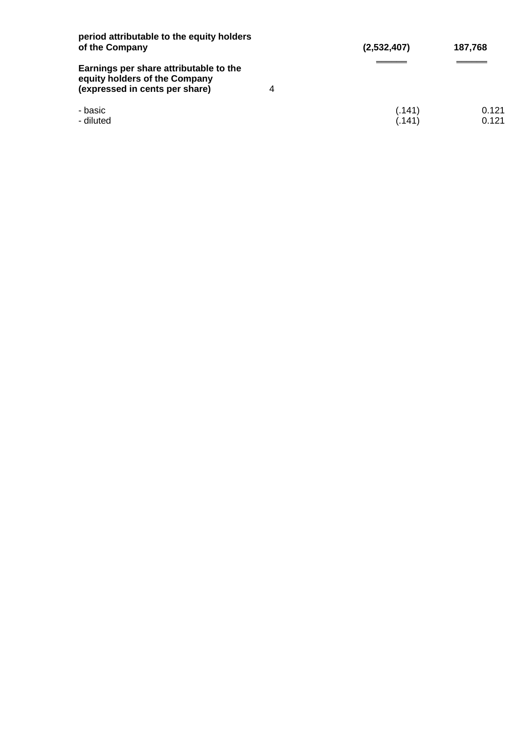| period attributable to the equity holders<br>of the Company                                                    | (2,532,407)      | 187,768        |
|----------------------------------------------------------------------------------------------------------------|------------------|----------------|
| Earnings per share attributable to the<br>equity holders of the Company<br>(expressed in cents per share)<br>4 |                  |                |
| - basic<br>- diluted                                                                                           | (.141)<br>(.141) | 0.121<br>0.121 |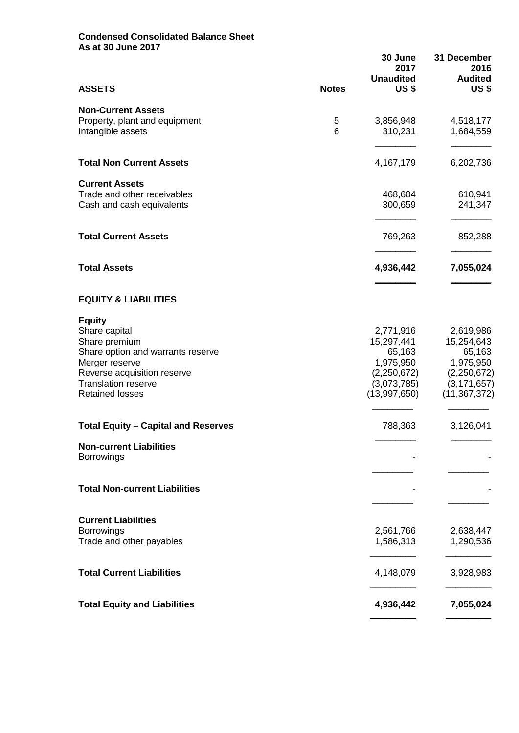### **Condensed Consolidated Balance Sheet As at 30 June 2017**

|                                                      |              | 30 June<br>2017<br><b>Unaudited</b> | 31 December<br>2016<br><b>Audited</b> |
|------------------------------------------------------|--------------|-------------------------------------|---------------------------------------|
| <b>ASSETS</b>                                        | <b>Notes</b> | <b>US\$</b>                         | <b>US\$</b>                           |
| <b>Non-Current Assets</b>                            |              |                                     |                                       |
| Property, plant and equipment                        | 5            | 3,856,948                           | 4,518,177                             |
| Intangible assets                                    | 6            | 310,231                             | 1,684,559                             |
| <b>Total Non Current Assets</b>                      |              | 4,167,179                           | 6,202,736                             |
| <b>Current Assets</b><br>Trade and other receivables |              | 468,604                             | 610,941                               |
| Cash and cash equivalents                            |              | 300,659                             | 241,347                               |
|                                                      |              |                                     |                                       |
| <b>Total Current Assets</b>                          |              | 769,263                             | 852,288                               |
| <b>Total Assets</b>                                  |              | 4,936,442                           | 7,055,024                             |
|                                                      |              |                                     |                                       |
| <b>EQUITY &amp; LIABILITIES</b>                      |              |                                     |                                       |
| <b>Equity</b>                                        |              |                                     |                                       |
| Share capital                                        |              | 2,771,916                           | 2,619,986                             |
| Share premium<br>Share option and warrants reserve   |              | 15,297,441<br>65,163                | 15,254,643<br>65,163                  |
| Merger reserve                                       |              | 1,975,950                           | 1,975,950                             |
| Reverse acquisition reserve                          |              | (2,250,672)                         | (2,250,672)                           |
| <b>Translation reserve</b>                           |              | (3,073,785)                         | (3, 171, 657)                         |
| <b>Retained losses</b>                               |              | (13,997,650)                        | (11, 367, 372)                        |
| <b>Total Equity - Capital and Reserves</b>           |              | 788,363                             | 3,126,041                             |
| <b>Non-current Liabilities</b>                       |              |                                     |                                       |
| <b>Borrowings</b>                                    |              |                                     |                                       |
|                                                      |              |                                     |                                       |
| <b>Total Non-current Liabilities</b>                 |              |                                     |                                       |
| <b>Current Liabilities</b>                           |              |                                     |                                       |
| <b>Borrowings</b>                                    |              | 2,561,766                           | 2,638,447                             |
| Trade and other payables                             |              | 1,586,313                           | 1,290,536                             |
| <b>Total Current Liabilities</b>                     |              | 4,148,079                           | 3,928,983                             |
| <b>Total Equity and Liabilities</b>                  |              | 4,936,442                           | 7,055,024                             |
|                                                      |              |                                     |                                       |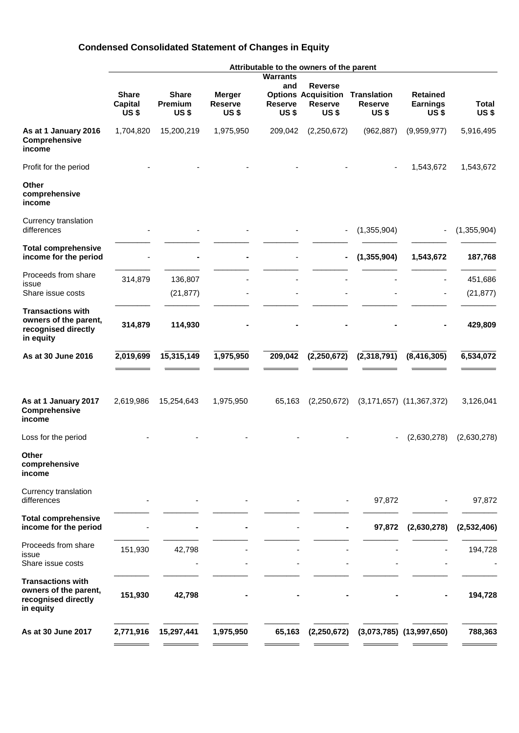# **Condensed Consolidated Statement of Changes in Equity**

|                                                                                       |                                                   |                                        |                                                |                                      | Attributable to the owners of the parent                                      |                                                     |                                                   |                             |
|---------------------------------------------------------------------------------------|---------------------------------------------------|----------------------------------------|------------------------------------------------|--------------------------------------|-------------------------------------------------------------------------------|-----------------------------------------------------|---------------------------------------------------|-----------------------------|
|                                                                                       |                                                   |                                        |                                                | <b>Warrants</b>                      |                                                                               |                                                     |                                                   |                             |
|                                                                                       | <b>Share</b><br><b>Capital</b><br>US <sub>s</sub> | <b>Share</b><br>Premium<br><b>US\$</b> | <b>Merger</b><br><b>Reserve</b><br><b>US\$</b> | and<br><b>Reserve</b><br><b>US\$</b> | <b>Reverse</b><br><b>Options Acquisition</b><br><b>Reserve</b><br><b>US\$</b> | <b>Translation</b><br><b>Reserve</b><br><b>US\$</b> | <b>Retained</b><br><b>Earnings</b><br><b>US\$</b> | <b>Total</b><br><b>US\$</b> |
| As at 1 January 2016<br>Comprehensive<br>income                                       | 1,704,820                                         | 15,200,219                             | 1,975,950                                      | 209,042                              | (2,250,672)                                                                   | (962, 887)                                          | (9,959,977)                                       | 5,916,495                   |
| Profit for the period                                                                 |                                                   |                                        |                                                |                                      |                                                                               |                                                     | 1,543,672                                         | 1,543,672                   |
| <b>Other</b><br>comprehensive<br>income                                               |                                                   |                                        |                                                |                                      |                                                                               |                                                     |                                                   |                             |
| Currency translation<br>differences                                                   |                                                   |                                        |                                                |                                      |                                                                               | (1,355,904)                                         | $\overline{\phantom{a}}$                          | (1,355,904)                 |
| <b>Total comprehensive</b><br>income for the period                                   |                                                   |                                        |                                                |                                      |                                                                               | (1, 355, 904)                                       | 1,543,672                                         | 187,768                     |
| Proceeds from share                                                                   | 314,879                                           | 136,807                                |                                                |                                      |                                                                               |                                                     |                                                   | 451,686                     |
| issue<br>Share issue costs                                                            |                                                   | (21, 877)                              |                                                |                                      |                                                                               |                                                     |                                                   | (21, 877)                   |
| <b>Transactions with</b><br>owners of the parent,<br>recognised directly<br>in equity | 314,879                                           | 114,930                                |                                                |                                      |                                                                               |                                                     |                                                   | 429,809                     |
| As at 30 June 2016                                                                    | 2,019,699                                         | 15,315,149                             | 1,975,950                                      | 209,042                              | (2, 250, 672)                                                                 | (2,318,791)                                         | (8, 416, 305)                                     | 6,534,072                   |
| As at 1 January 2017<br>Comprehensive<br>income                                       | 2,619,986                                         | 15,254,643                             | 1,975,950                                      | 65,163                               | (2,250,672)                                                                   |                                                     | $(3, 171, 657)$ $(11, 367, 372)$                  | 3,126,041                   |
| Loss for the period                                                                   |                                                   |                                        |                                                |                                      |                                                                               |                                                     | (2,630,278)                                       | (2,630,278)                 |
| Other<br>comprehensive<br>income                                                      |                                                   |                                        |                                                |                                      |                                                                               |                                                     |                                                   |                             |
| Currency translation<br>differences                                                   |                                                   |                                        |                                                |                                      |                                                                               | 97,872                                              |                                                   | 97,872                      |
| <b>Total comprehensive</b><br>income for the period                                   |                                                   |                                        |                                                |                                      |                                                                               | 97,872                                              | (2,630,278)                                       | (2,532,406)                 |
| Proceeds from share<br>issue<br>Share issue costs                                     | 151,930                                           | 42,798                                 |                                                |                                      |                                                                               |                                                     |                                                   | 194,728                     |
| <b>Transactions with</b><br>owners of the parent,<br>recognised directly<br>in equity | 151,930                                           | 42,798                                 |                                                |                                      |                                                                               |                                                     |                                                   | 194,728                     |
| As at 30 June 2017                                                                    | 2,771,916                                         | 15,297,441                             | 1,975,950                                      | 65,163                               | (2,250,672)                                                                   |                                                     | $(3,073,785)$ $(13,997,650)$                      | 788,363                     |
|                                                                                       |                                                   |                                        |                                                |                                      |                                                                               |                                                     |                                                   |                             |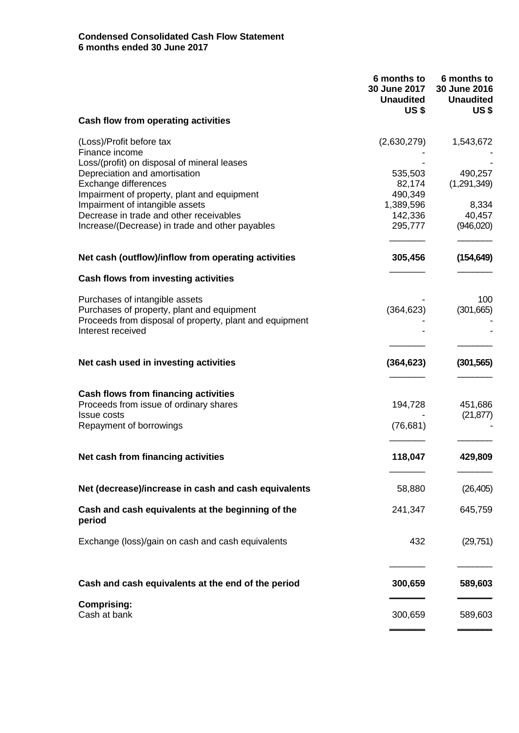|                                                                                                                                         | 6 months to<br>30 June 2017<br><b>Unaudited</b><br>US \$ | 6 months to<br>30 June 2016<br><b>Unaudited</b><br><b>US\$</b> |
|-----------------------------------------------------------------------------------------------------------------------------------------|----------------------------------------------------------|----------------------------------------------------------------|
| Cash flow from operating activities                                                                                                     |                                                          |                                                                |
| (Loss)/Profit before tax<br>Finance income                                                                                              | (2,630,279)                                              | 1,543,672                                                      |
| Loss/(profit) on disposal of mineral leases<br>Depreciation and amortisation<br>Exchange differences                                    | 535,503<br>82,174                                        | 490,257<br>(1,291,349)                                         |
| Impairment of property, plant and equipment<br>Impairment of intangible assets                                                          | 490,349<br>1,389,596                                     | 8,334                                                          |
| Decrease in trade and other receivables<br>Increase/(Decrease) in trade and other payables                                              | 142,336<br>295,777                                       | 40,457<br>(946,020)                                            |
| Net cash (outflow)/inflow from operating activities                                                                                     | 305,456                                                  | (154, 649)                                                     |
| <b>Cash flows from investing activities</b>                                                                                             |                                                          |                                                                |
| Purchases of intangible assets<br>Purchases of property, plant and equipment<br>Proceeds from disposal of property, plant and equipment | (364, 623)                                               | 100<br>(301,665)                                               |
| Interest received                                                                                                                       |                                                          |                                                                |
| Net cash used in investing activities                                                                                                   | (364, 623)                                               | (301, 565)                                                     |
| <b>Cash flows from financing activities</b><br>Proceeds from issue of ordinary shares<br><b>Issue costs</b>                             | 194,728                                                  | 451,686<br>(21, 877)                                           |
| Repayment of borrowings                                                                                                                 | (76, 681)                                                |                                                                |
| Net cash from financing activities                                                                                                      | 118,047                                                  | 429,809                                                        |
| Net (decrease)/increase in cash and cash equivalents                                                                                    | 58,880                                                   | (26, 405)                                                      |
| Cash and cash equivalents at the beginning of the<br>period                                                                             | 241,347                                                  | 645,759                                                        |
| Exchange (loss)/gain on cash and cash equivalents                                                                                       | 432                                                      | (29, 751)                                                      |
| Cash and cash equivalents at the end of the period                                                                                      | 300,659                                                  | 589,603                                                        |
| <b>Comprising:</b><br>Cash at bank                                                                                                      | 300,659                                                  | 589,603                                                        |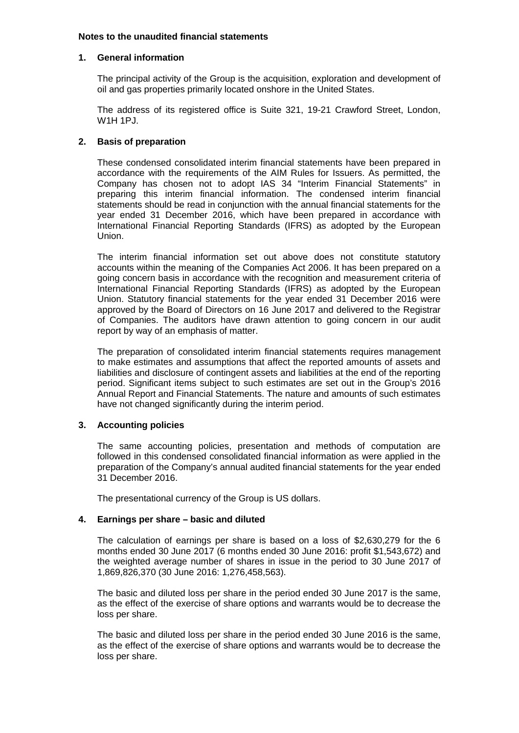#### **Notes to the unaudited financial statements**

### **1. General information**

The principal activity of the Group is the acquisition, exploration and development of oil and gas properties primarily located onshore in the United States.

The address of its registered office is Suite 321, 19-21 Crawford Street, London, W1H 1PJ.

### **2. Basis of preparation**

These condensed consolidated interim financial statements have been prepared in accordance with the requirements of the AIM Rules for Issuers. As permitted, the Company has chosen not to adopt IAS 34 "Interim Financial Statements" in preparing this interim financial information. The condensed interim financial statements should be read in conjunction with the annual financial statements for the year ended 31 December 2016, which have been prepared in accordance with International Financial Reporting Standards (IFRS) as adopted by the European Union.

The interim financial information set out above does not constitute statutory accounts within the meaning of the Companies Act 2006. It has been prepared on a going concern basis in accordance with the recognition and measurement criteria of International Financial Reporting Standards (IFRS) as adopted by the European Union. Statutory financial statements for the year ended 31 December 2016 were approved by the Board of Directors on 16 June 2017 and delivered to the Registrar of Companies. The auditors have drawn attention to going concern in our audit report by way of an emphasis of matter.

The preparation of consolidated interim financial statements requires management to make estimates and assumptions that affect the reported amounts of assets and liabilities and disclosure of contingent assets and liabilities at the end of the reporting period. Significant items subject to such estimates are set out in the Group's 2016 Annual Report and Financial Statements. The nature and amounts of such estimates have not changed significantly during the interim period.

### **3. Accounting policies**

The same accounting policies, presentation and methods of computation are followed in this condensed consolidated financial information as were applied in the preparation of the Company's annual audited financial statements for the year ended 31 December 2016.

The presentational currency of the Group is US dollars.

### **4. Earnings per share – basic and diluted**

The calculation of earnings per share is based on a loss of \$2,630,279 for the 6 months ended 30 June 2017 (6 months ended 30 June 2016: profit \$1,543,672) and the weighted average number of shares in issue in the period to 30 June 2017 of 1,869,826,370 (30 June 2016: 1,276,458,563).

The basic and diluted loss per share in the period ended 30 June 2017 is the same, as the effect of the exercise of share options and warrants would be to decrease the loss per share.

The basic and diluted loss per share in the period ended 30 June 2016 is the same, as the effect of the exercise of share options and warrants would be to decrease the loss per share.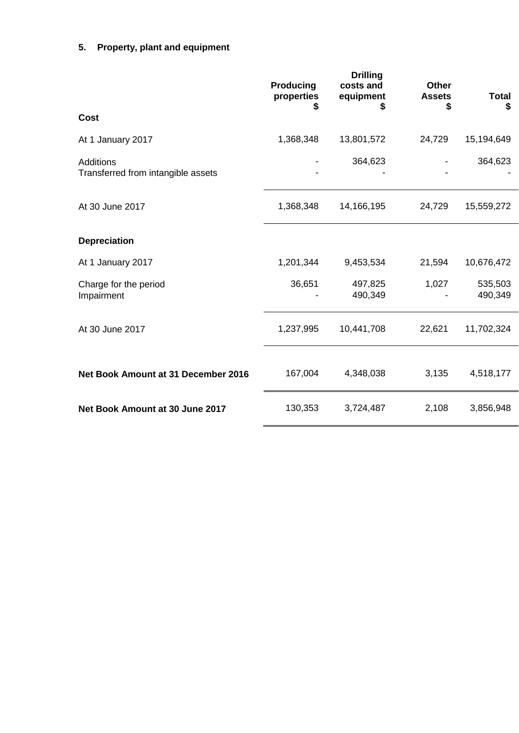# **5. Property, plant and equipment**

|                                                        | Producing<br>properties<br>S | <b>Drilling</b><br>costs and<br>equipment<br>\$ | <b>Other</b><br><b>Assets</b><br>\$ | <b>Total</b><br>\$ |
|--------------------------------------------------------|------------------------------|-------------------------------------------------|-------------------------------------|--------------------|
| Cost                                                   |                              |                                                 |                                     |                    |
| At 1 January 2017                                      | 1,368,348                    | 13,801,572                                      | 24,729                              | 15,194,649         |
| <b>Additions</b><br>Transferred from intangible assets |                              | 364,623                                         |                                     | 364,623            |
| At 30 June 2017                                        | 1,368,348                    | 14,166,195                                      | 24,729                              | 15,559,272         |
| <b>Depreciation</b>                                    |                              |                                                 |                                     |                    |
| At 1 January 2017                                      | 1,201,344                    | 9,453,534                                       | 21,594                              | 10,676,472         |
| Charge for the period<br>Impairment                    | 36,651                       | 497,825<br>490,349                              | 1,027                               | 535,503<br>490,349 |
| At 30 June 2017                                        | 1,237,995                    | 10,441,708                                      | 22,621                              | 11,702,324         |
| Net Book Amount at 31 December 2016                    | 167,004                      | 4,348,038                                       | 3,135                               | 4,518,177          |
| Net Book Amount at 30 June 2017                        | 130,353                      | 3,724,487                                       | 2,108                               | 3,856,948          |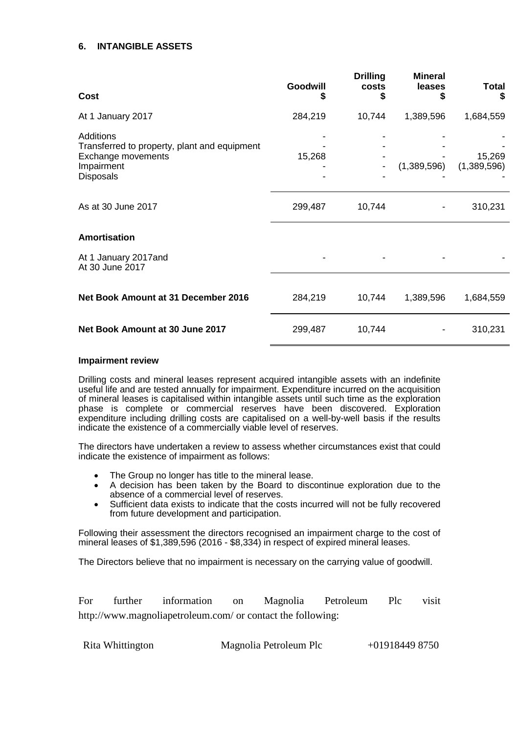### **6. INTANGIBLE ASSETS**

| Cost                                                                                                              | Goodwill<br>S | <b>Drilling</b><br>costs<br>S | <b>Mineral</b><br>leases | <b>Total</b><br>S     |
|-------------------------------------------------------------------------------------------------------------------|---------------|-------------------------------|--------------------------|-----------------------|
| At 1 January 2017                                                                                                 | 284,219       | 10,744                        | 1,389,596                | 1,684,559             |
| <b>Additions</b><br>Transferred to property, plant and equipment<br>Exchange movements<br>Impairment<br>Disposals | 15,268        |                               | (1,389,596)              | 15,269<br>(1,389,596) |
| As at 30 June 2017                                                                                                | 299,487       | 10,744                        |                          | 310,231               |
| <b>Amortisation</b>                                                                                               |               |                               |                          |                       |
| At 1 January 2017and<br>At 30 June 2017                                                                           |               |                               |                          |                       |
| Net Book Amount at 31 December 2016                                                                               | 284,219       | 10,744                        | 1,389,596                | 1,684,559             |
| Net Book Amount at 30 June 2017                                                                                   | 299,487       | 10,744                        |                          | 310,231               |
|                                                                                                                   |               |                               |                          |                       |

#### **Impairment review**

Drilling costs and mineral leases represent acquired intangible assets with an indefinite useful life and are tested annually for impairment. Expenditure incurred on the acquisition of mineral leases is capitalised within intangible assets until such time as the exploration phase is complete or commercial reserves have been discovered. Exploration expenditure including drilling costs are capitalised on a well-by-well basis if the results indicate the existence of a commercially viable level of reserves.

The directors have undertaken a review to assess whether circumstances exist that could indicate the existence of impairment as follows:

- The Group no longer has title to the mineral lease.
- A decision has been taken by the Board to discontinue exploration due to the absence of a commercial level of reserves.
- Sufficient data exists to indicate that the costs incurred will not be fully recovered from future development and participation.

Following their assessment the directors recognised an impairment charge to the cost of mineral leases of \$1,389,596 (2016 - \$8,334) in respect of expired mineral leases.

The Directors believe that no impairment is necessary on the carrying value of goodwill.

For further information on Magnolia Petroleum Plc visit http://www.magnoliapetroleum.com/ or contact the following:

| Rita Whittington | Magnolia Petroleum Plc | $+019184498750$ |
|------------------|------------------------|-----------------|
|------------------|------------------------|-----------------|